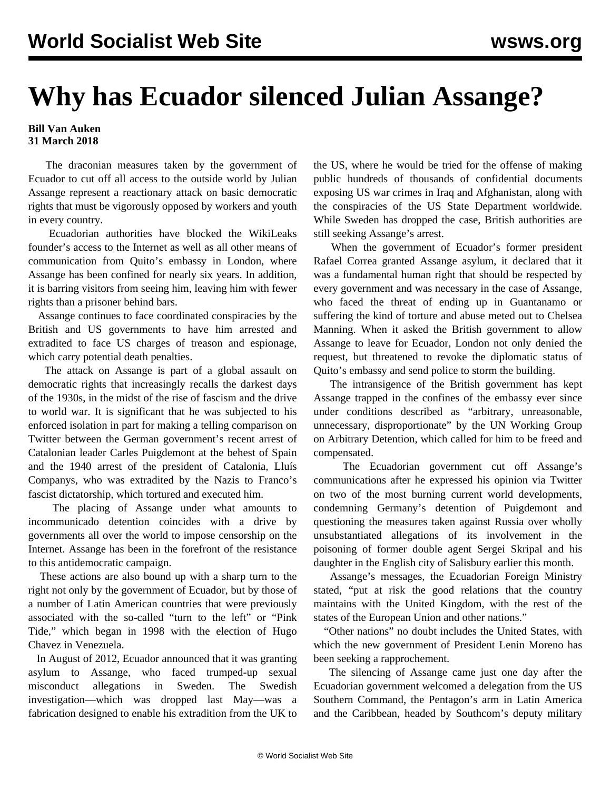## **Why has Ecuador silenced Julian Assange?**

## **Bill Van Auken 31 March 2018**

 The draconian measures taken by the government of Ecuador to cut off all access to the outside world by Julian Assange represent a reactionary attack on basic democratic rights that must be vigorously opposed by workers and youth in every country.

 Ecuadorian authorities have blocked the WikiLeaks founder's access to the Internet as well as all other means of communication from Quito's embassy in London, where Assange has been confined for nearly six years. In addition, it is barring visitors from seeing him, leaving him with fewer rights than a prisoner behind bars.

 Assange continues to face coordinated conspiracies by the British and US governments to have him arrested and extradited to face US charges of treason and espionage, which carry potential death penalties.

 The attack on Assange is part of a global assault on democratic rights that increasingly recalls the darkest days of the 1930s, in the midst of the rise of fascism and the drive to world war. It is significant that he was subjected to his enforced isolation in part for making a telling comparison on Twitter between the German government's recent arrest of Catalonian leader Carles Puigdemont at the behest of Spain and the 1940 arrest of the president of Catalonia, Lluís Companys, who was extradited by the Nazis to Franco's fascist dictatorship, which tortured and executed him.

 The placing of Assange under what amounts to incommunicado detention coincides with a drive by governments all over the world to impose censorship on the Internet. Assange has been in the forefront of the resistance to this antidemocratic campaign.

 These actions are also bound up with a sharp turn to the right not only by the government of Ecuador, but by those of a number of Latin American countries that were previously associated with the so-called "turn to the left" or "Pink Tide," which began in 1998 with the election of Hugo Chavez in Venezuela.

 In August of 2012, Ecuador announced that it was granting asylum to Assange, who faced trumped-up sexual misconduct allegations in Sweden. The Swedish investigation—which was dropped last May—was a fabrication designed to enable his extradition from the UK to the US, where he would be tried for the offense of making public hundreds of thousands of confidential documents exposing US war crimes in Iraq and Afghanistan, along with the conspiracies of the US State Department worldwide. While Sweden has dropped the case, British authorities are still seeking Assange's arrest.

 When the government of Ecuador's former president Rafael Correa granted Assange asylum, it declared that it was a fundamental human right that should be respected by every government and was necessary in the case of Assange, who faced the threat of ending up in Guantanamo or suffering the kind of torture and abuse meted out to Chelsea Manning. When it asked the British government to allow Assange to leave for Ecuador, London not only denied the request, but threatened to revoke the diplomatic status of Quito's embassy and send police to storm the building.

 The intransigence of the British government has kept Assange trapped in the confines of the embassy ever since under conditions described as "arbitrary, unreasonable, unnecessary, disproportionate" by the UN Working Group on Arbitrary Detention, which called for him to be freed and compensated.

 The Ecuadorian government cut off Assange's communications after he expressed his opinion via Twitter on two of the most burning current world developments, condemning Germany's detention of Puigdemont and questioning the measures taken against Russia over wholly unsubstantiated allegations of its involvement in the poisoning of former double agent Sergei Skripal and his daughter in the English city of Salisbury earlier this month.

 Assange's messages, the Ecuadorian Foreign Ministry stated, "put at risk the good relations that the country maintains with the United Kingdom, with the rest of the states of the European Union and other nations."

 "Other nations" no doubt includes the United States, with which the new government of President Lenin Moreno has been seeking a rapprochement.

 The silencing of Assange came just one day after the Ecuadorian government welcomed a delegation from the US Southern Command, the Pentagon's arm in Latin America and the Caribbean, headed by Southcom's deputy military